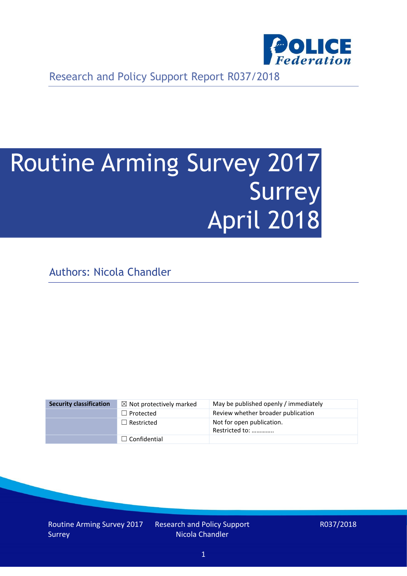

Research and Policy Support Report R037/2018

# Routine Arming Survey 2017 Surrey April 2018

Authors: Nicola Chandler

| <b>Security classification</b> | $\boxtimes$ Not protectively marked | May be published openly / immediately       |
|--------------------------------|-------------------------------------|---------------------------------------------|
|                                | $\Box$ Protected                    | Review whether broader publication          |
|                                | $\Box$ Restricted                   | Not for open publication.<br>Restricted to: |
|                                | $\Box$ Confidential                 |                                             |

Routine Arming Survey 2017 Surrey

Research and Policy Support Nicola Chandler

R037/2018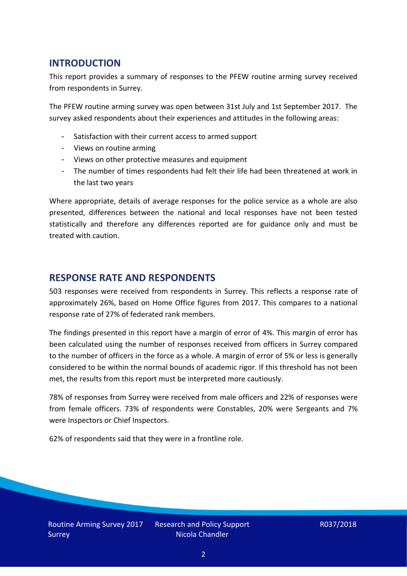## **INTRODUCTION**

This report provides a summary of responses to the PFEW routine arming survey received from respondents in Surrey.

The PFEW routine arming survey was open between 31st July and 1st September 2017. The survey asked respondents about their experiences and attitudes in the following areas:

- Satisfaction with their current access to armed support
- Views on routine arming
- Views on other protective measures and equipment
- The number of times respondents had felt their life had been threatened at work in the last two years

Where appropriate, details of average responses for the police service as a whole are also presented, differences between the national and local responses have not been tested statistically and therefore any differences reported are for guidance only and must be treated with caution.

#### **RESPONSE RATE AND RESPONDENTS**

503 responses were received from respondents in Surrey. This reflects a response rate of approximately 26%, based on Home Office figures from 2017. This compares to a national response rate of 27% of federated rank members.

The findings presented in this report have a margin of error of 4%. This margin of error has been calculated using the number of responses received from officers in Surrey compared to the number of officers in the force as a whole. A margin of error of 5% or less is generally considered to be within the normal bounds of academic rigor. If this threshold has not been met, the results from this report must be interpreted more cautiously.

78% of responses from Surrey were received from male officers and 22% of responses were from female officers. 73% of respondents were Constables, 20% were Sergeants and 7% were Inspectors or Chief Inspectors.

62% of respondents said that they were in a frontline role.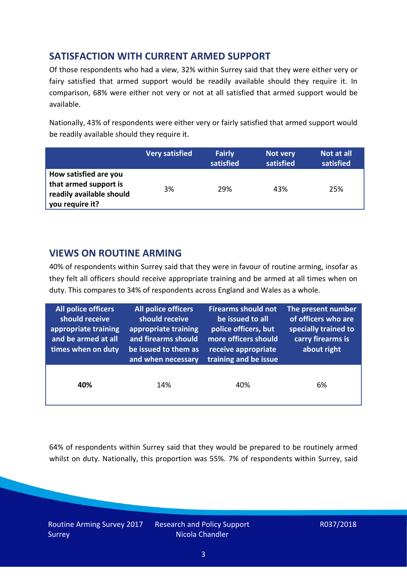# **SATISFACTION WITH CURRENT ARMED SUPPORT**

Of those respondents who had a view, 32% within Surrey said that they were either very or fairy satisfied that armed support would be readily available should they require it. In comparison, 68% were either not very or not at all satisfied that armed support would be available.

Nationally, 43% of respondents were either very or fairly satisfied that armed support would be readily available should they require it.

|                                                                                               | <b>Very satisfied</b> | <b>Fairly</b><br>satisfied | Not very<br>satisfied | Not at all<br>satisfied |
|-----------------------------------------------------------------------------------------------|-----------------------|----------------------------|-----------------------|-------------------------|
| How satisfied are you<br>that armed support is<br>readily available should<br>you require it? | 3%                    | 29%                        | 43%                   | 25%                     |

## **VIEWS ON ROUTINE ARMING**

40% of respondents within Surrey said that they were in favour of routine arming, insofar as they felt all officers should receive appropriate training and be armed at all times when on duty. This compares to 34% of respondents across England and Wales as a whole.

| All police officers<br>should receive<br>appropriate training<br>and be armed at all<br>times when on duty | All police officers<br>should receive<br>appropriate training<br>and firearms should<br>be issued to them as<br>and when necessary | <b>Firearms should not</b><br>be issued to all<br>police officers, but<br>more officers should<br>receive appropriate<br>training and be issue | The present number<br>of officers who are<br>specially trained to<br>carry firearms is<br>about right |  |
|------------------------------------------------------------------------------------------------------------|------------------------------------------------------------------------------------------------------------------------------------|------------------------------------------------------------------------------------------------------------------------------------------------|-------------------------------------------------------------------------------------------------------|--|
| 40%                                                                                                        | 14%                                                                                                                                | 40%                                                                                                                                            | 6%                                                                                                    |  |

64% of respondents within Surrey said that they would be prepared to be routinely armed whilst on duty. Nationally, this proportion was 55%. 7% of respondents within Surrey, said

Routine Arming Survey 2017 Surrey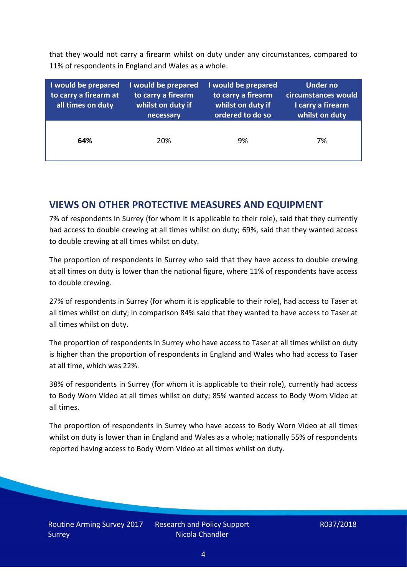that they would not carry a firearm whilst on duty under any circumstances, compared to 11% of respondents in England and Wales as a whole.

| I would be prepared<br>to carry a firearm at<br>all times on duty | I would be prepared<br>to carry a firearm<br>whilst on duty if<br>necessary | I would be prepared<br>to carry a firearm<br>whilst on duty if<br>ordered to do so | <b>Under no</b><br>circumstances would<br>I carry a firearm<br>whilst on duty |
|-------------------------------------------------------------------|-----------------------------------------------------------------------------|------------------------------------------------------------------------------------|-------------------------------------------------------------------------------|
| 64%                                                               | 20%                                                                         | 9%                                                                                 | 7%                                                                            |

## **VIEWS ON OTHER PROTECTIVE MEASURES AND EQUIPMENT**

7% of respondents in Surrey (for whom it is applicable to their role), said that they currently had access to double crewing at all times whilst on duty; 69%, said that they wanted access to double crewing at all times whilst on duty.

The proportion of respondents in Surrey who said that they have access to double crewing at all times on duty is lower than the national figure, where 11% of respondents have access to double crewing.

27% of respondents in Surrey (for whom it is applicable to their role), had access to Taser at all times whilst on duty; in comparison 84% said that they wanted to have access to Taser at all times whilst on duty.

The proportion of respondents in Surrey who have access to Taser at all times whilst on duty is higher than the proportion of respondents in England and Wales who had access to Taser at all time, which was 22%.

38% of respondents in Surrey (for whom it is applicable to their role), currently had access to Body Worn Video at all times whilst on duty; 85% wanted access to Body Worn Video at all times.

The proportion of respondents in Surrey who have access to Body Worn Video at all times whilst on duty is lower than in England and Wales as a whole; nationally 55% of respondents reported having access to Body Worn Video at all times whilst on duty.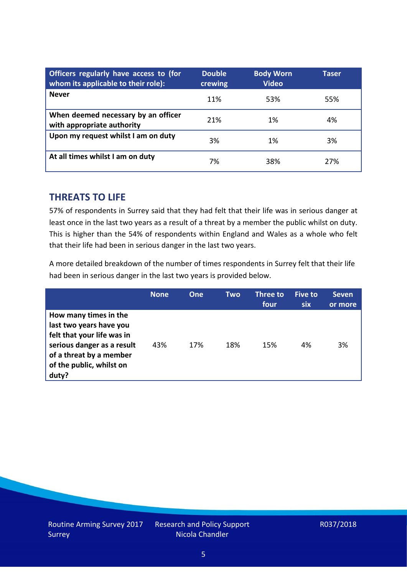| Officers regularly have access to (for<br>whom its applicable to their role): | <b>Double</b><br>crewing | <b>Body Worn</b><br><b>Video</b> | Taser |
|-------------------------------------------------------------------------------|--------------------------|----------------------------------|-------|
| <b>Never</b>                                                                  | 11%                      | 53%                              | 55%   |
| When deemed necessary by an officer<br>with appropriate authority             | 21%                      | 1%                               | 4%    |
| Upon my request whilst I am on duty                                           | 3%                       | 1%                               | 3%    |
| At all times whilst I am on duty                                              | 7%                       | 38%                              | 27%   |

#### **THREATS TO LIFE**

57% of respondents in Surrey said that they had felt that their life was in serious danger at least once in the last two years as a result of a threat by a member the public whilst on duty. This is higher than the 54% of respondents within England and Wales as a whole who felt that their life had been in serious danger in the last two years.

A more detailed breakdown of the number of times respondents in Surrey felt that their life had been in serious danger in the last two years is provided below.

|                                                                                                                                                                              | <b>None</b> | <b>One</b> | Two | <b>Three to</b><br>four | <b>Five to</b><br><b>six</b> | <b>Seven</b><br>or more |
|------------------------------------------------------------------------------------------------------------------------------------------------------------------------------|-------------|------------|-----|-------------------------|------------------------------|-------------------------|
| How many times in the<br>last two years have you<br>felt that your life was in<br>serious danger as a result<br>of a threat by a member<br>of the public, whilst on<br>duty? | 43%         | 17%        | 18% | 15%                     | 4%                           | 3%                      |